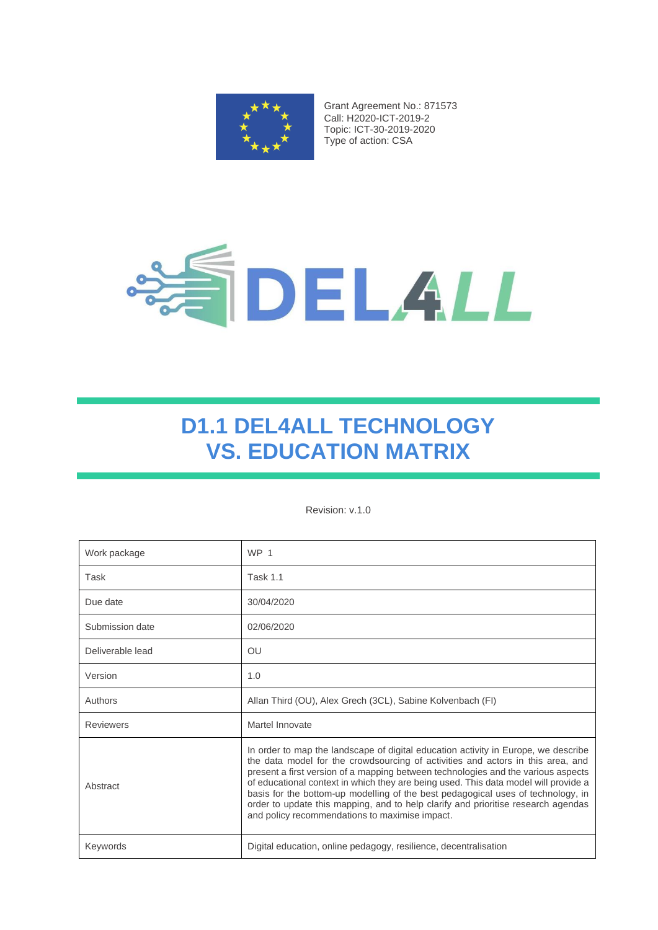

Grant Agreement No.: 871573 Call: H2020-ICT-2019-2 Topic: ICT-30-2019-2020 Type of action: CSA



# **D1.1 DEL4ALL TECHNOLOGY VS. EDUCATION MATRIX**

#### Revision: v.1.0

| Work package     | WP <sub>1</sub>                                                                                                                                                                                                                                                                                                                                                                                                                                                                                                                                                              |
|------------------|------------------------------------------------------------------------------------------------------------------------------------------------------------------------------------------------------------------------------------------------------------------------------------------------------------------------------------------------------------------------------------------------------------------------------------------------------------------------------------------------------------------------------------------------------------------------------|
| Task             | <b>Task 1.1</b>                                                                                                                                                                                                                                                                                                                                                                                                                                                                                                                                                              |
| Due date         | 30/04/2020                                                                                                                                                                                                                                                                                                                                                                                                                                                                                                                                                                   |
| Submission date  | 02/06/2020                                                                                                                                                                                                                                                                                                                                                                                                                                                                                                                                                                   |
| Deliverable lead | <b>OU</b>                                                                                                                                                                                                                                                                                                                                                                                                                                                                                                                                                                    |
| Version          | 1.0                                                                                                                                                                                                                                                                                                                                                                                                                                                                                                                                                                          |
| Authors          | Allan Third (OU), Alex Grech (3CL), Sabine Kolvenbach (FI)                                                                                                                                                                                                                                                                                                                                                                                                                                                                                                                   |
| <b>Reviewers</b> | Martel Innovate                                                                                                                                                                                                                                                                                                                                                                                                                                                                                                                                                              |
| Abstract         | In order to map the landscape of digital education activity in Europe, we describe<br>the data model for the crowdsourcing of activities and actors in this area, and<br>present a first version of a mapping between technologies and the various aspects<br>of educational context in which they are being used. This data model will provide a<br>basis for the bottom-up modelling of the best pedagogical uses of technology, in<br>order to update this mapping, and to help clarify and prioritise research agendas<br>and policy recommendations to maximise impact. |
| Keywords         | Digital education, online pedagogy, resilience, decentralisation                                                                                                                                                                                                                                                                                                                                                                                                                                                                                                             |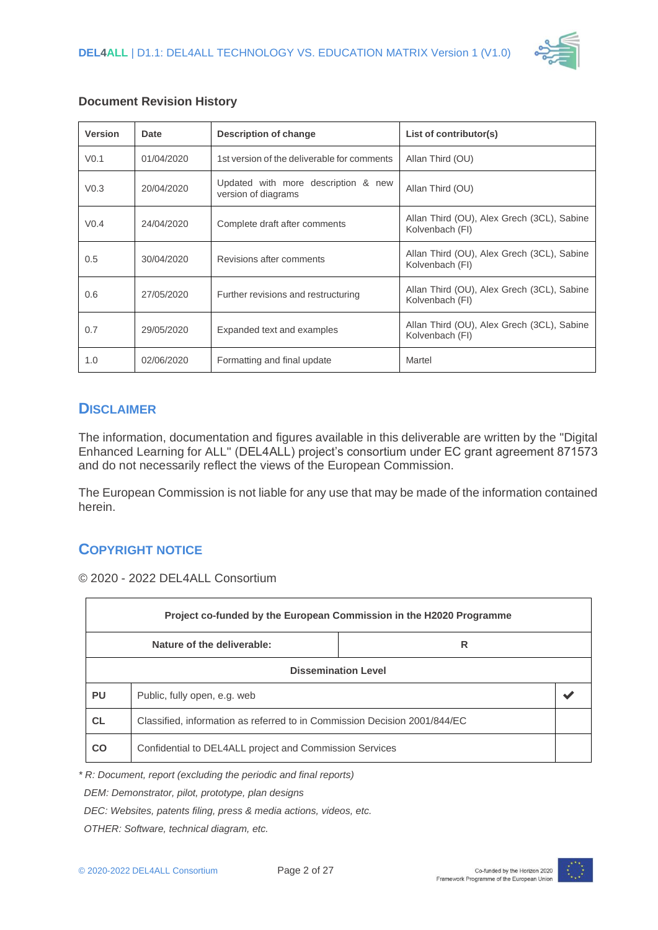

| <b>Version</b>   | <b>Date</b> | <b>Description of change</b>                               | List of contributor(s)                                        |  |  |
|------------------|-------------|------------------------------------------------------------|---------------------------------------------------------------|--|--|
| V <sub>0.1</sub> | 01/04/2020  | 1st version of the deliverable for comments                | Allan Third (OU)                                              |  |  |
| V <sub>0.3</sub> | 20/04/2020  | Updated with more description & new<br>version of diagrams | Allan Third (OU)                                              |  |  |
| V <sub>0.4</sub> | 24/04/2020  | Complete draft after comments                              | Allan Third (OU), Alex Grech (3CL), Sabine<br>Kolvenbach (FI) |  |  |
| 0.5              | 30/04/2020  | Revisions after comments                                   | Allan Third (OU), Alex Grech (3CL), Sabine<br>Kolvenbach (FI) |  |  |
| 0.6              | 27/05/2020  | Further revisions and restructuring                        | Allan Third (OU), Alex Grech (3CL), Sabine<br>Kolvenbach (FI) |  |  |
| 0.7              | 29/05/2020  | Expanded text and examples                                 | Allan Third (OU), Alex Grech (3CL), Sabine<br>Kolvenbach (FI) |  |  |
| 1.0              | 02/06/2020  | Formatting and final update                                | Martel                                                        |  |  |

#### **Document Revision History**

### **DISCLAIMER**

The information, documentation and figures available in this deliverable are written by the "Digital Enhanced Learning for ALL" (DEL4ALL) project's consortium under EC grant agreement 871573 and do not necessarily reflect the views of the European Commission.

The European Commission is not liable for any use that may be made of the information contained herein.

### **COPYRIGHT NOTICE**

© 2020 - 2022 DEL4ALL Consortium

| Project co-funded by the European Commission in the H2020 Programme |                                                                           |  |  |  |  |
|---------------------------------------------------------------------|---------------------------------------------------------------------------|--|--|--|--|
| Nature of the deliverable:<br>R                                     |                                                                           |  |  |  |  |
| <b>Dissemination Level</b>                                          |                                                                           |  |  |  |  |
| <b>PU</b>                                                           | Public, fully open, e.g. web                                              |  |  |  |  |
| <b>CL</b>                                                           | Classified, information as referred to in Commission Decision 2001/844/EC |  |  |  |  |
| CO                                                                  | Confidential to DEL4ALL project and Commission Services                   |  |  |  |  |

*\* R: Document, report (excluding the periodic and final reports)*

 *DEM: Demonstrator, pilot, prototype, plan designs* 

 *DEC: Websites, patents filing, press & media actions, videos, etc.*

 *OTHER: Software, technical diagram, etc.*

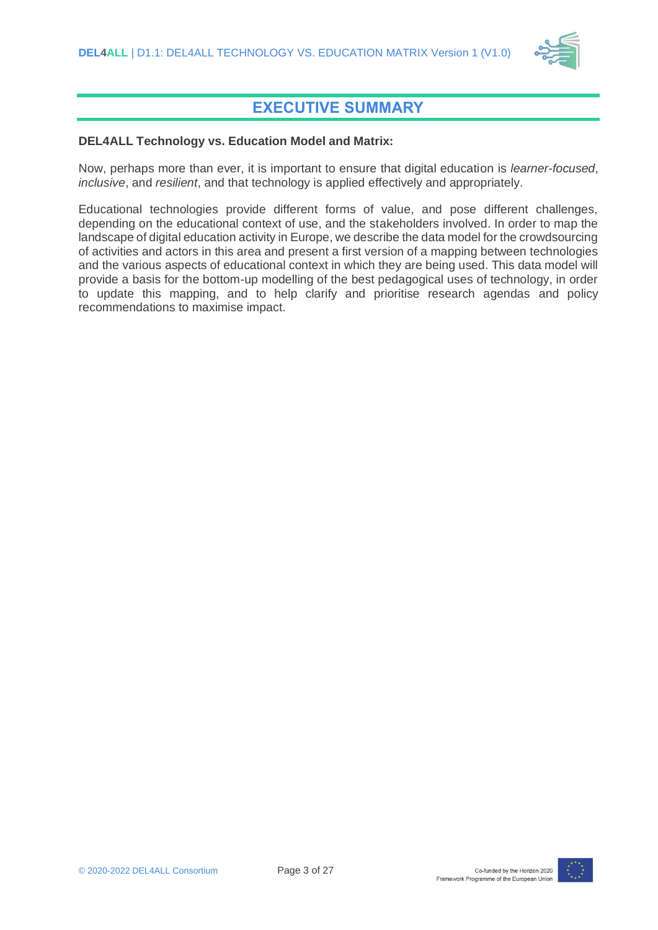

### **EXECUTIVE SUMMARY**

#### <span id="page-2-0"></span>**DEL4ALL Technology vs. Education Model and Matrix:**

Now, perhaps more than ever, it is important to ensure that digital education is *learner-focused*, *inclusive*, and *resilient*, and that technology is applied effectively and appropriately.

Educational technologies provide different forms of value, and pose different challenges, depending on the educational context of use, and the stakeholders involved. In order to map the landscape of digital education activity in Europe, we describe the data model for the crowdsourcing of activities and actors in this area and present a first version of a mapping between technologies and the various aspects of educational context in which they are being used. This data model will provide a basis for the bottom-up modelling of the best pedagogical uses of technology, in order to update this mapping, and to help clarify and prioritise research agendas and policy recommendations to maximise impact.

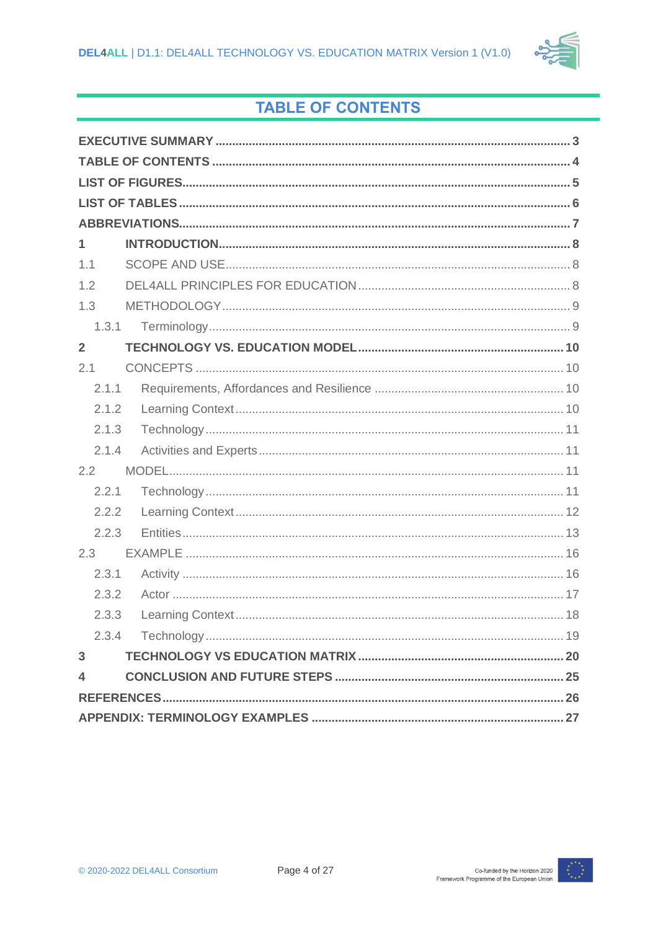

## **TABLE OF CONTENTS**

<span id="page-3-0"></span>

| 1              |
|----------------|
| 1.1            |
| 1.2            |
| 1.3            |
| 1.3.1          |
| $\overline{2}$ |
| 2.1            |
| 2.1.1          |
| 2.1.2          |
| 2.1.3          |
| 2.1.4          |
| 2.2            |
| 2.2.1          |
| 2.2.2          |
| 2.2.3          |
| 2.3            |
| 2.3.1          |
| 2.3.2          |
| 2.3.3          |
| 2.3.4          |
| 3              |
| 4              |
|                |
|                |

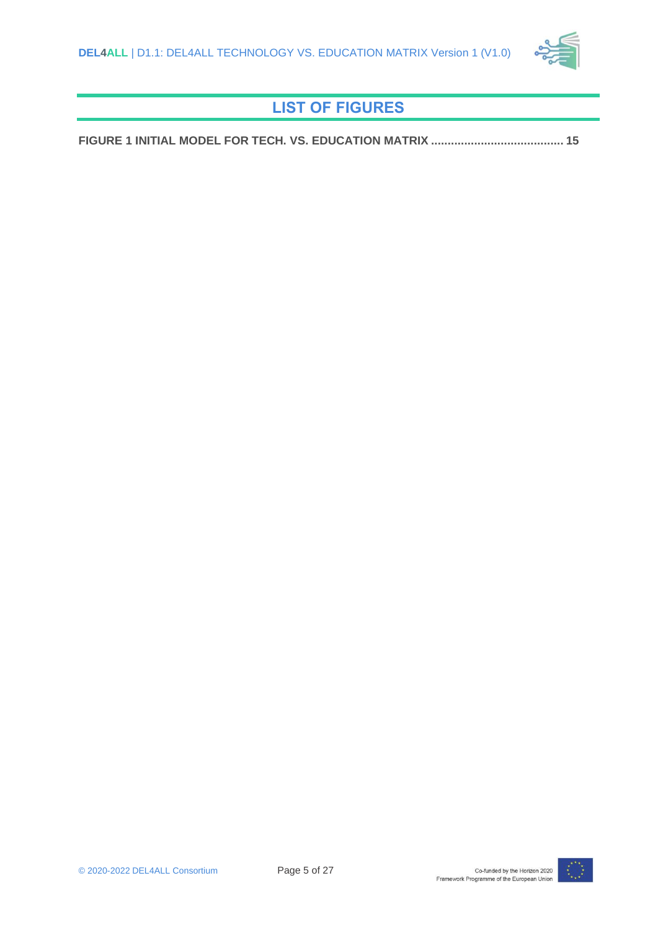

## **LIST OF FIGURES**

<span id="page-4-0"></span>**[FIGURE 1 INITIAL MODEL FOR TECH. VS. EDUCATION MATRIX](#page-14-0) ........................................ 15**

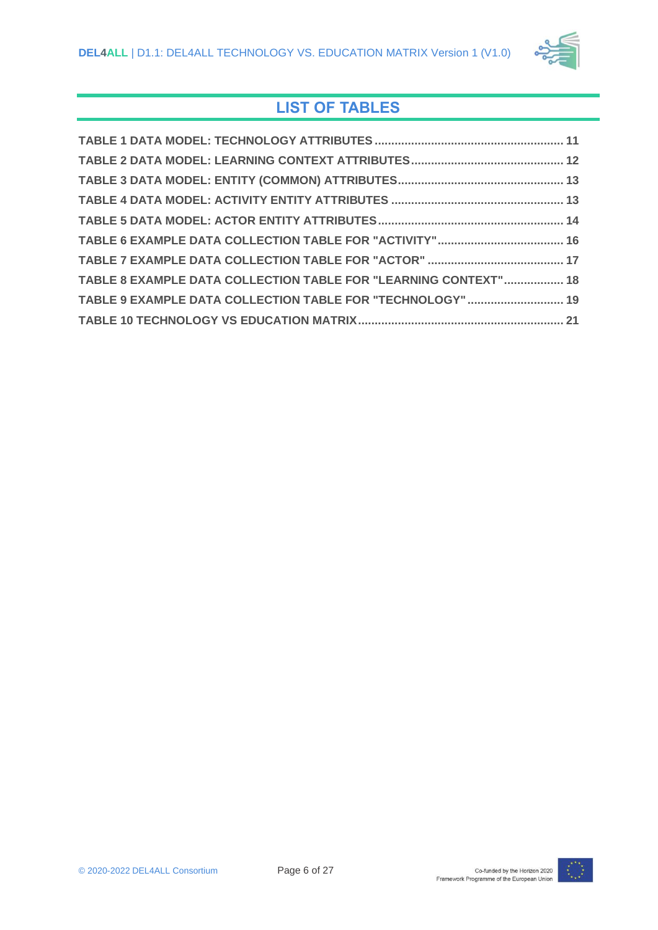

## **LIST OF TABLES**

<span id="page-5-0"></span>

| TABLE 8 EXAMPLE DATA COLLECTION TABLE FOR "LEARNING CONTEXT" 18 |  |
|-----------------------------------------------------------------|--|
| TABLE 9 EXAMPLE DATA COLLECTION TABLE FOR "TECHNOLOGY"  19      |  |
|                                                                 |  |

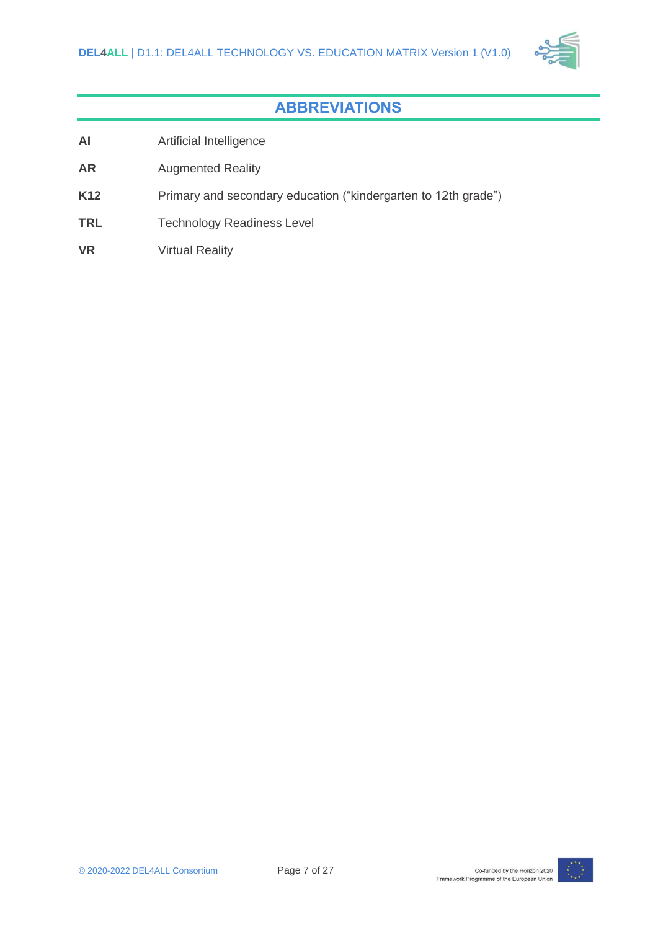

## **ABBREVIATIONS**

- <span id="page-6-0"></span>**AI** Artificial Intelligence
- **AR** Augmented Reality
- K12 Primary and secondary education ("kindergarten to 12th grade")
- **TRL** Technology Readiness Level
- **VR** Virtual Reality

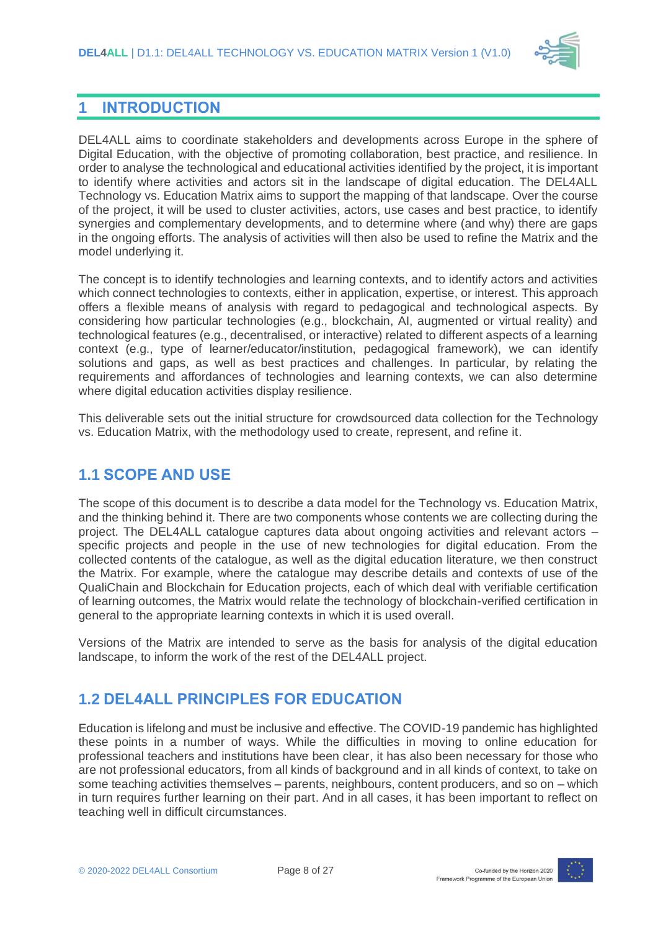

### <span id="page-7-0"></span>**1 INTRODUCTION**

DEL4ALL aims to coordinate stakeholders and developments across Europe in the sphere of Digital Education, with the objective of promoting collaboration, best practice, and resilience. In order to analyse the technological and educational activities identified by the project, it is important to identify where activities and actors sit in the landscape of digital education. The DEL4ALL Technology vs. Education Matrix aims to support the mapping of that landscape. Over the course of the project, it will be used to cluster activities, actors, use cases and best practice, to identify synergies and complementary developments, and to determine where (and why) there are gaps in the ongoing efforts. The analysis of activities will then also be used to refine the Matrix and the model underlying it.

The concept is to identify technologies and learning contexts, and to identify actors and activities which connect technologies to contexts, either in application, expertise, or interest. This approach offers a flexible means of analysis with regard to pedagogical and technological aspects. By considering how particular technologies (e.g., blockchain, AI, augmented or virtual reality) and technological features (e.g., decentralised, or interactive) related to different aspects of a learning context (e.g., type of learner/educator/institution, pedagogical framework), we can identify solutions and gaps, as well as best practices and challenges. In particular, by relating the requirements and affordances of technologies and learning contexts, we can also determine where digital education activities display resilience.

This deliverable sets out the initial structure for crowdsourced data collection for the Technology vs. Education Matrix, with the methodology used to create, represent, and refine it.

## <span id="page-7-1"></span>**1.1 SCOPE AND USE**

The scope of this document is to describe a data model for the Technology vs. Education Matrix, and the thinking behind it. There are two components whose contents we are collecting during the project. The DEL4ALL catalogue captures data about ongoing activities and relevant actors – specific projects and people in the use of new technologies for digital education. From the collected contents of the catalogue, as well as the digital education literature, we then construct the Matrix. For example, where the catalogue may describe details and contexts of use of the QualiChain and Blockchain for Education projects, each of which deal with verifiable certification of learning outcomes, the Matrix would relate the technology of blockchain-verified certification in general to the appropriate learning contexts in which it is used overall.

Versions of the Matrix are intended to serve as the basis for analysis of the digital education landscape, to inform the work of the rest of the DEL4ALL project.

## <span id="page-7-2"></span>**1.2 DEL4ALL PRINCIPLES FOR EDUCATION**

Education is lifelong and must be inclusive and effective. The COVID-19 pandemic has highlighted these points in a number of ways. While the difficulties in moving to online education for professional teachers and institutions have been clear, it has also been necessary for those who are not professional educators, from all kinds of background and in all kinds of context, to take on some teaching activities themselves – parents, neighbours, content producers, and so on – which in turn requires further learning on their part. And in all cases, it has been important to reflect on teaching well in difficult circumstances.

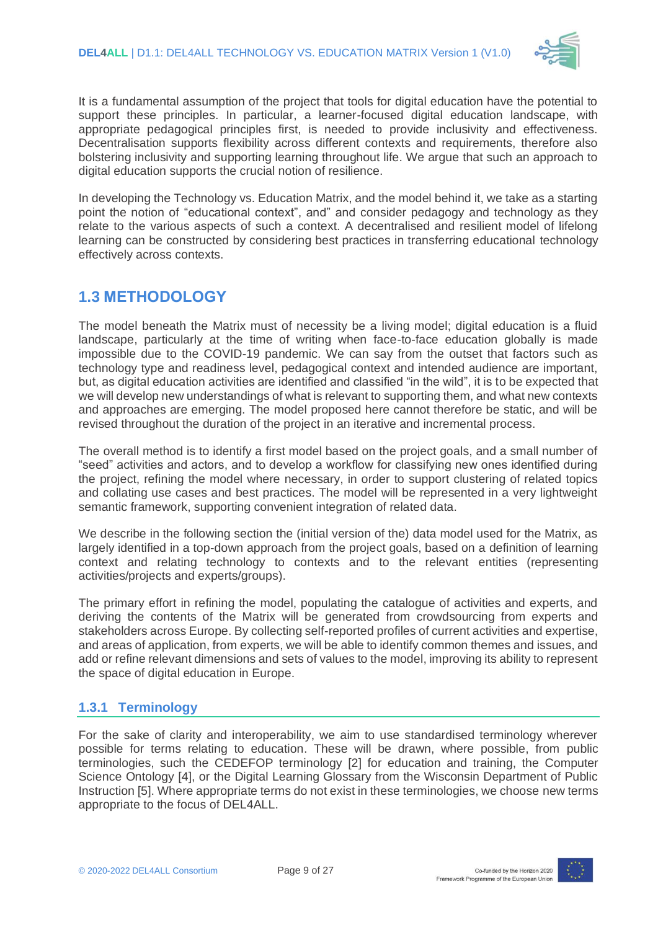

It is a fundamental assumption of the project that tools for digital education have the potential to support these principles. In particular, a learner-focused digital education landscape, with appropriate pedagogical principles first, is needed to provide inclusivity and effectiveness. Decentralisation supports flexibility across different contexts and requirements, therefore also bolstering inclusivity and supporting learning throughout life. We argue that such an approach to digital education supports the crucial notion of resilience.

In developing the Technology vs. Education Matrix, and the model behind it, we take as a starting point the notion of "educational context", and" and consider pedagogy and technology as they relate to the various aspects of such a context. A decentralised and resilient model of lifelong learning can be constructed by considering best practices in transferring educational technology effectively across contexts.

## <span id="page-8-0"></span>**1.3 METHODOLOGY**

The model beneath the Matrix must of necessity be a living model; digital education is a fluid landscape, particularly at the time of writing when face-to-face education globally is made impossible due to the COVID-19 pandemic. We can say from the outset that factors such as technology type and readiness level, pedagogical context and intended audience are important, but, as digital education activities are identified and classified "in the wild", it is to be expected that we will develop new understandings of what is relevant to supporting them, and what new contexts and approaches are emerging. The model proposed here cannot therefore be static, and will be revised throughout the duration of the project in an iterative and incremental process.

The overall method is to identify a first model based on the project goals, and a small number of "seed" activities and actors, and to develop a workflow for classifying new ones identified during the project, refining the model where necessary, in order to support clustering of related topics and collating use cases and best practices. The model will be represented in a very lightweight semantic framework, supporting convenient integration of related data.

We describe in the following section the (initial version of the) data model used for the Matrix, as largely identified in a top-down approach from the project goals, based on a definition of learning context and relating technology to contexts and to the relevant entities (representing activities/projects and experts/groups).

The primary effort in refining the model, populating the catalogue of activities and experts, and deriving the contents of the Matrix will be generated from crowdsourcing from experts and stakeholders across Europe. By collecting self-reported profiles of current activities and expertise, and areas of application, from experts, we will be able to identify common themes and issues, and add or refine relevant dimensions and sets of values to the model, improving its ability to represent the space of digital education in Europe.

### <span id="page-8-1"></span>**1.3.1 Terminology**

For the sake of clarity and interoperability, we aim to use standardised terminology wherever possible for terms relating to education. These will be drawn, where possible, from public terminologies, such the CEDEFOP terminology [\[2\]](#page-25-1) for education and training, the Computer Science Ontology [\[4\],](#page-25-2) or the Digital Learning Glossary from the Wisconsin Department of Public Instruction [\[5\].](#page-25-3) Where appropriate terms do not exist in these terminologies, we choose new terms appropriate to the focus of DEL4ALL.

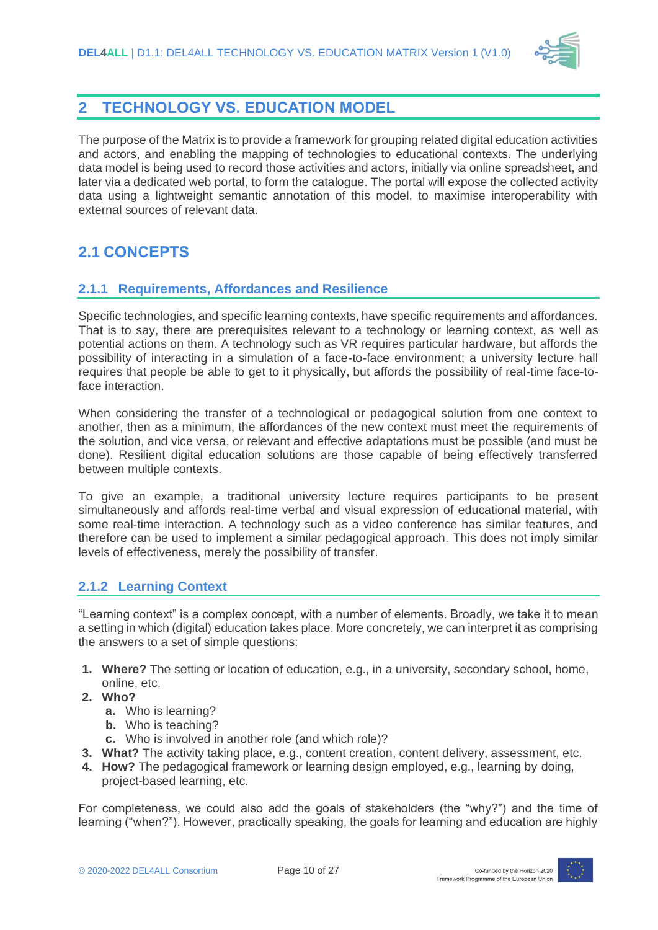

### <span id="page-9-0"></span>**2 TECHNOLOGY VS. EDUCATION MODEL**

The purpose of the Matrix is to provide a framework for grouping related digital education activities and actors, and enabling the mapping of technologies to educational contexts. The underlying data model is being used to record those activities and actors, initially via online spreadsheet, and later via a dedicated web portal, to form the catalogue. The portal will expose the collected activity data using a lightweight semantic annotation of this model, to maximise interoperability with external sources of relevant data.

## <span id="page-9-1"></span>**2.1 CONCEPTS**

### <span id="page-9-2"></span>**2.1.1 Requirements, Affordances and Resilience**

Specific technologies, and specific learning contexts, have specific requirements and affordances. That is to say, there are prerequisites relevant to a technology or learning context, as well as potential actions on them. A technology such as VR requires particular hardware, but affords the possibility of interacting in a simulation of a face-to-face environment; a university lecture hall requires that people be able to get to it physically, but affords the possibility of real-time face-toface interaction.

When considering the transfer of a technological or pedagogical solution from one context to another, then as a minimum, the affordances of the new context must meet the requirements of the solution, and vice versa, or relevant and effective adaptations must be possible (and must be done). Resilient digital education solutions are those capable of being effectively transferred between multiple contexts.

To give an example, a traditional university lecture requires participants to be present simultaneously and affords real-time verbal and visual expression of educational material, with some real-time interaction. A technology such as a video conference has similar features, and therefore can be used to implement a similar pedagogical approach. This does not imply similar levels of effectiveness, merely the possibility of transfer.

#### <span id="page-9-3"></span>**2.1.2 Learning Context**

"Learning context" is a complex concept, with a number of elements. Broadly, we take it to mean a setting in which (digital) education takes place. More concretely, we can interpret it as comprising the answers to a set of simple questions:

- **1. Where?** The setting or location of education, e.g., in a university, secondary school, home, online, etc.
- **2. Who?**
	- **a.** Who is learning?
	- **b.** Who is teaching?
	- **c.** Who is involved in another role (and which role)?
- **3. What?** The activity taking place, e.g., content creation, content delivery, assessment, etc.
- **4. How?** The pedagogical framework or learning design employed, e.g., learning by doing, project-based learning, etc.

For completeness, we could also add the goals of stakeholders (the "why?") and the time of learning ("when?"). However, practically speaking, the goals for learning and education are highly

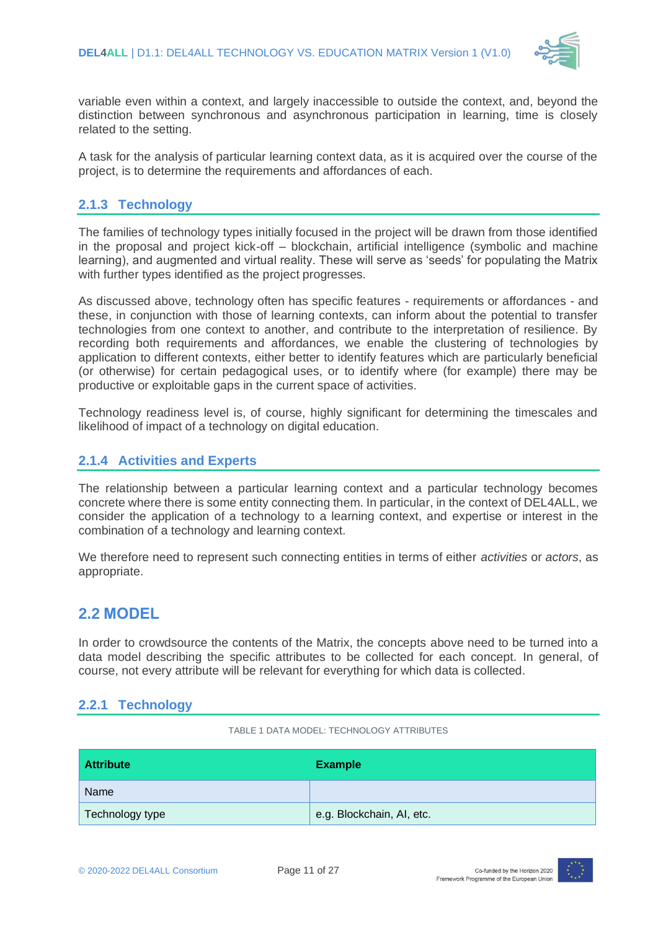

variable even within a context, and largely inaccessible to outside the context, and, beyond the distinction between synchronous and asynchronous participation in learning, time is closely related to the setting.

A task for the analysis of particular learning context data, as it is acquired over the course of the project, is to determine the requirements and affordances of each.

### <span id="page-10-0"></span>**2.1.3 Technology**

The families of technology types initially focused in the project will be drawn from those identified in the proposal and project kick-off – blockchain, artificial intelligence (symbolic and machine learning), and augmented and virtual reality. These will serve as 'seeds' for populating the Matrix with further types identified as the project progresses.

As discussed above, technology often has specific features - requirements or affordances - and these, in conjunction with those of learning contexts, can inform about the potential to transfer technologies from one context to another, and contribute to the interpretation of resilience. By recording both requirements and affordances, we enable the clustering of technologies by application to different contexts, either better to identify features which are particularly beneficial (or otherwise) for certain pedagogical uses, or to identify where (for example) there may be productive or exploitable gaps in the current space of activities.

Technology readiness level is, of course, highly significant for determining the timescales and likelihood of impact of a technology on digital education.

#### <span id="page-10-1"></span>**2.1.4 Activities and Experts**

The relationship between a particular learning context and a particular technology becomes concrete where there is some entity connecting them. In particular, in the context of DEL4ALL, we consider the application of a technology to a learning context, and expertise or interest in the combination of a technology and learning context.

We therefore need to represent such connecting entities in terms of either *activities* or *actors*, as appropriate.

### <span id="page-10-2"></span>**2.2 MODEL**

In order to crowdsource the contents of the Matrix, the concepts above need to be turned into a data model describing the specific attributes to be collected for each concept. In general, of course, not every attribute will be relevant for everything for which data is collected.

#### <span id="page-10-3"></span>**2.2.1 Technology**

TABLE 1 DATA MODEL: TECHNOLOGY ATTRIBUTES

<span id="page-10-4"></span>

| <b>Attribute</b> | <b>Example</b>            |
|------------------|---------------------------|
| Name             |                           |
| Technology type  | e.g. Blockchain, AI, etc. |

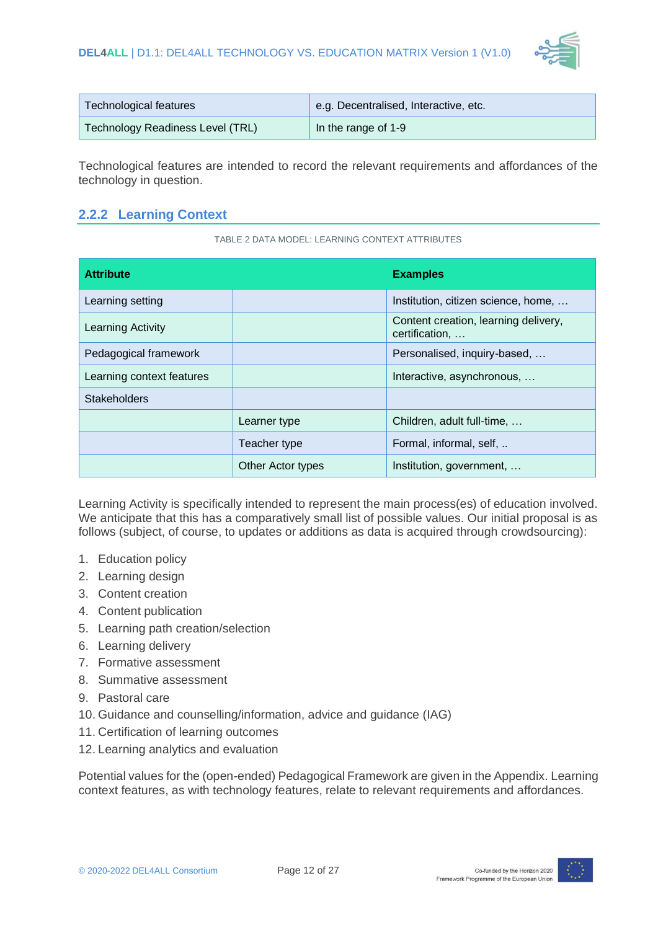

| Technological features           | e.g. Decentralised, Interactive, etc. |
|----------------------------------|---------------------------------------|
| Technology Readiness Level (TRL) | In the range of 1-9                   |

Technological features are intended to record the relevant requirements and affordances of the technology in question.

### <span id="page-11-0"></span>**2.2.2 Learning Context**

TABLE 2 DATA MODEL: LEARNING CONTEXT ATTRIBUTES

<span id="page-11-1"></span>

| <b>Attribute</b>          |                   | <b>Examples</b>                                        |  |  |
|---------------------------|-------------------|--------------------------------------------------------|--|--|
| Learning setting          |                   | Institution, citizen science, home,                    |  |  |
| Learning Activity         |                   | Content creation, learning delivery,<br>certification, |  |  |
| Pedagogical framework     |                   | Personalised, inquiry-based,                           |  |  |
| Learning context features |                   | Interactive, asynchronous,                             |  |  |
| <b>Stakeholders</b>       |                   |                                                        |  |  |
|                           | Learner type      | Children, adult full-time,                             |  |  |
|                           | Teacher type      | Formal, informal, self,                                |  |  |
|                           | Other Actor types | Institution, government,                               |  |  |

Learning Activity is specifically intended to represent the main process(es) of education involved. We anticipate that this has a comparatively small list of possible values. Our initial proposal is as follows (subject, of course, to updates or additions as data is acquired through crowdsourcing):

- 1. Education policy
- 2. Learning design
- 3. Content creation
- 4. Content publication
- 5. Learning path creation/selection
- 6. Learning delivery
- 7. Formative assessment
- 8. Summative assessment
- 9. Pastoral care
- 10. Guidance and counselling/information, advice and guidance (IAG)
- 11. Certification of learning outcomes
- 12. Learning analytics and evaluation

Potential values for the (open-ended) Pedagogical Framework are given in the Appendix. Learning context features, as with technology features, relate to relevant requirements and affordances.

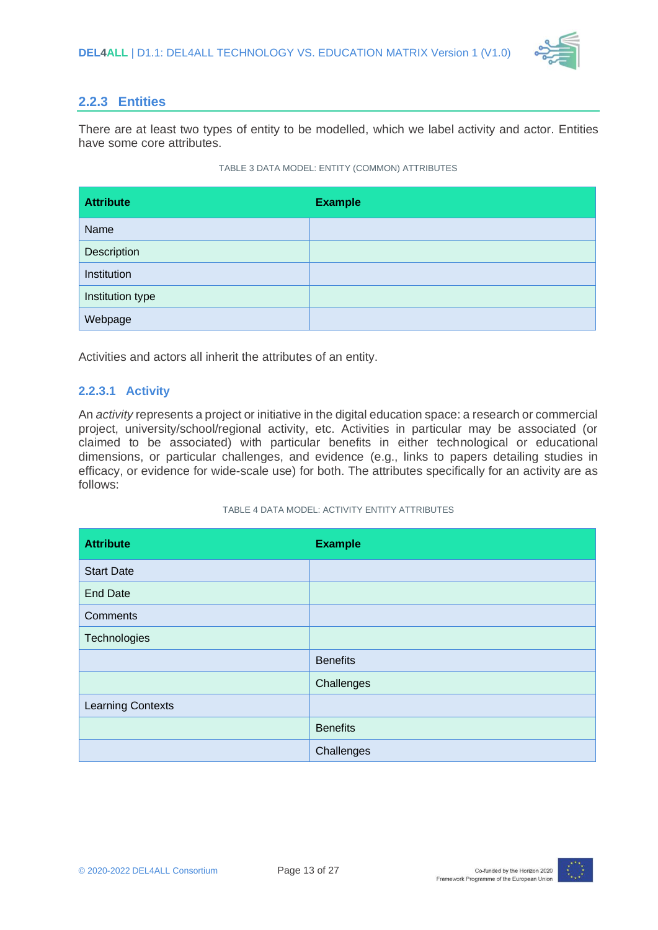

#### <span id="page-12-0"></span>**2.2.3 Entities**

There are at least two types of entity to be modelled, which we label activity and actor. Entities have some core attributes.

#### TABLE 3 DATA MODEL: ENTITY (COMMON) ATTRIBUTES

<span id="page-12-1"></span>

| <b>Attribute</b> | <b>Example</b> |
|------------------|----------------|
| Name             |                |
| Description      |                |
| Institution      |                |
| Institution type |                |
| Webpage          |                |

Activities and actors all inherit the attributes of an entity.

#### **2.2.3.1 Activity**

An *activity* represents a project or initiative in the digital education space: a research or commercial project, university/school/regional activity, etc. Activities in particular may be associated (or claimed to be associated) with particular benefits in either technological or educational dimensions, or particular challenges, and evidence (e.g., links to papers detailing studies in efficacy, or evidence for wide-scale use) for both. The attributes specifically for an activity are as follows:

#### TABLE 4 DATA MODEL: ACTIVITY ENTITY ATTRIBUTES

<span id="page-12-2"></span>

| <b>Attribute</b>         | <b>Example</b>  |
|--------------------------|-----------------|
| <b>Start Date</b>        |                 |
| <b>End Date</b>          |                 |
| Comments                 |                 |
| Technologies             |                 |
|                          | <b>Benefits</b> |
|                          | Challenges      |
| <b>Learning Contexts</b> |                 |
|                          | <b>Benefits</b> |
|                          | Challenges      |

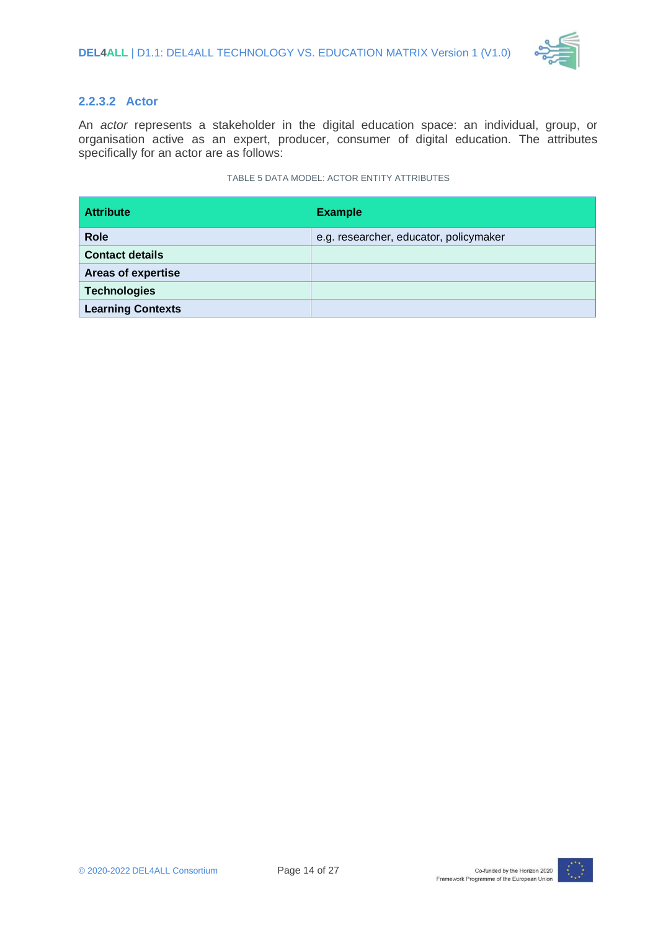

#### **2.2.3.2 Actor**

An *actor* represents a stakeholder in the digital education space: an individual, group, or organisation active as an expert, producer, consumer of digital education. The attributes specifically for an actor are as follows:

#### TABLE 5 DATA MODEL: ACTOR ENTITY ATTRIBUTES

<span id="page-13-0"></span>

| <b>Attribute</b>          | <b>Example</b>                         |
|---------------------------|----------------------------------------|
| <b>Role</b>               | e.g. researcher, educator, policymaker |
| <b>Contact details</b>    |                                        |
| <b>Areas of expertise</b> |                                        |
| <b>Technologies</b>       |                                        |
| <b>Learning Contexts</b>  |                                        |

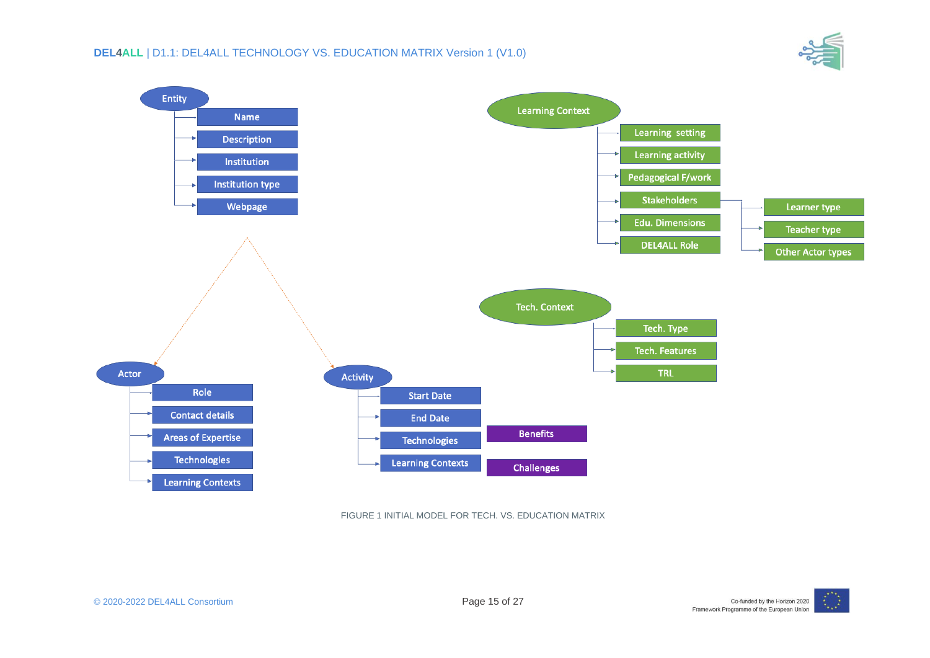



<span id="page-14-0"></span>FIGURE 1 INITIAL MODEL FOR TECH. VS. EDUCATION MATRIX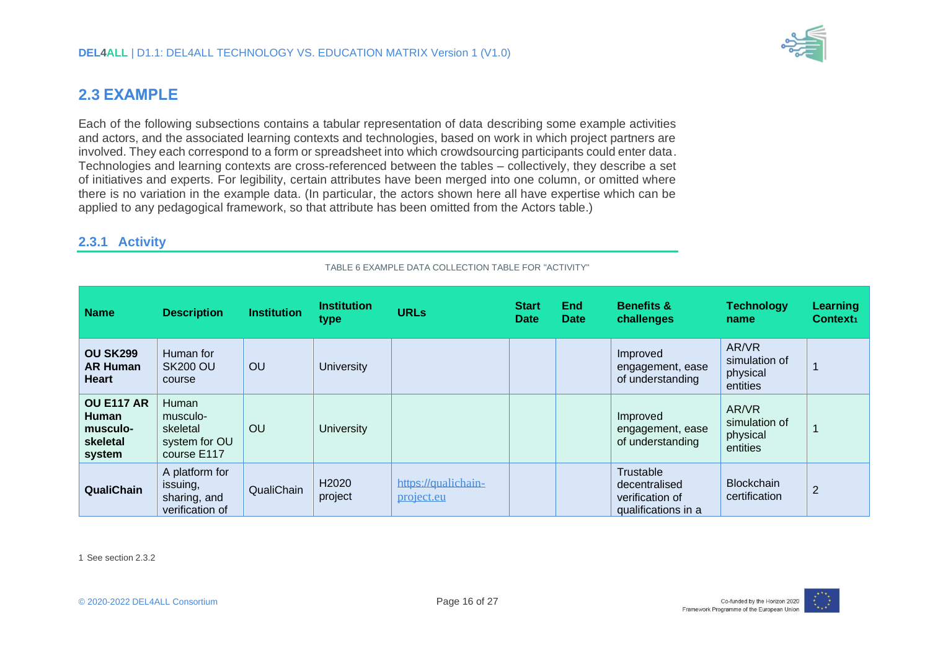

### **2.3 EXAMPLE**

Each of the following subsections contains a tabular representation of data describing some example activities and actors, and the associated learning contexts and technologies, based on work in which project partners are involved. They each correspond to a form or spreadsheet into which crowdsourcing participants could enter data. Technologies and learning contexts are cross-referenced between the tables – collectively, they describe a set of initiatives and experts. For legibility, certain attributes have been merged into one column, or omitted where there is no variation in the example data. (In particular, the actors shown here all have expertise which can be applied to any pedagogical framework, so that attribute has been omitted from the Actors table.)

#### **2.3.1 Activity**

<span id="page-15-0"></span>

| <b>Name</b>                                                         | <b>Description</b>                                            | <b>Institution</b> | <b>Institution</b><br>type   | <b>URLs</b>                       | <b>Start</b><br><b>Date</b> | <b>End</b><br><b>Date</b> | <b>Benefits &amp;</b><br>challenges                                  | <b>Technology</b><br>name                      | Learning<br>Context <sub>1</sub> |
|---------------------------------------------------------------------|---------------------------------------------------------------|--------------------|------------------------------|-----------------------------------|-----------------------------|---------------------------|----------------------------------------------------------------------|------------------------------------------------|----------------------------------|
| <b>OU SK299</b><br><b>AR Human</b><br><b>Heart</b>                  | Human for<br><b>SK200 OU</b><br>course                        | OU                 | <b>University</b>            |                                   |                             |                           | Improved<br>engagement, ease<br>of understanding                     | AR/VR<br>simulation of<br>physical<br>entities |                                  |
| <b>OU E117 AR</b><br><b>Human</b><br>musculo-<br>skeletal<br>system | Human<br>musculo-<br>skeletal<br>system for OU<br>course E117 | OU                 | <b>University</b>            |                                   |                             |                           | Improved<br>engagement, ease<br>of understanding                     | AR/VR<br>simulation of<br>physical<br>entities |                                  |
| QualiChain                                                          | A platform for<br>issuing,<br>sharing, and<br>verification of | QualiChain         | H <sub>2020</sub><br>project | https://qualichain-<br>project.eu |                             |                           | Trustable<br>decentralised<br>verification of<br>qualifications in a | <b>Blockchain</b><br>certification             | $\overline{2}$                   |

TABLE 6 EXAMPLE DATA COLLECTION TABLE FOR "ACTIVITY"

<span id="page-15-2"></span><span id="page-15-1"></span>1 See sectio[n 2.3.2](#page-16-2)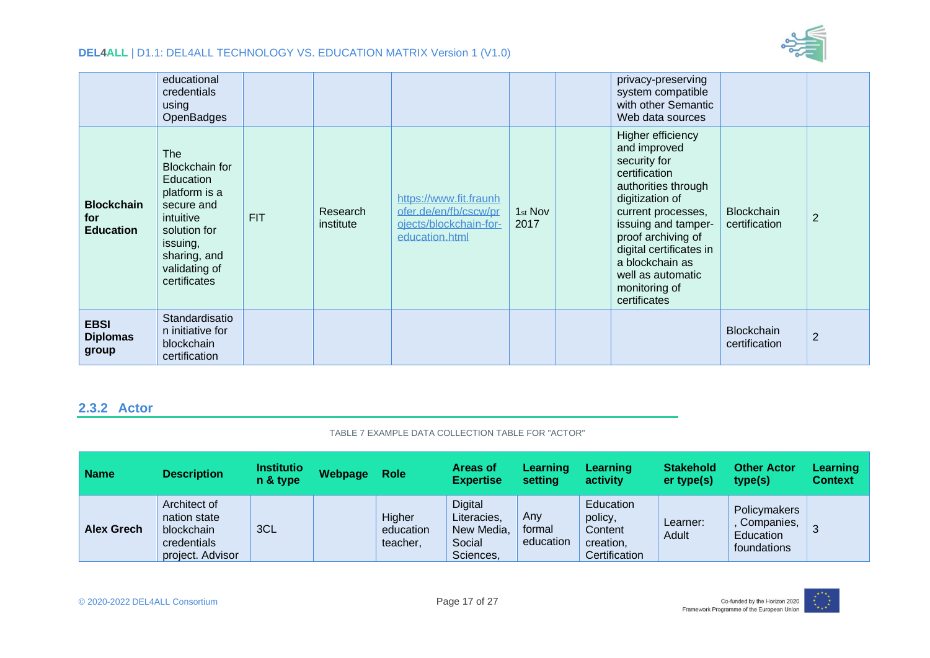

|                                              | educational<br>credentials<br>using<br>OpenBadges                                                                                                                         |            |                       |                                                                                             |                             | privacy-preserving<br>system compatible<br>with other Semantic<br>Web data sources                                                                                                                                                                                                  |                                    |                |
|----------------------------------------------|---------------------------------------------------------------------------------------------------------------------------------------------------------------------------|------------|-----------------------|---------------------------------------------------------------------------------------------|-----------------------------|-------------------------------------------------------------------------------------------------------------------------------------------------------------------------------------------------------------------------------------------------------------------------------------|------------------------------------|----------------|
| <b>Blockchain</b><br>for<br><b>Education</b> | <b>The</b><br><b>Blockchain for</b><br>Education<br>platform is a<br>secure and<br>intuitive<br>solution for<br>issuing,<br>sharing, and<br>validating of<br>certificates | <b>FIT</b> | Research<br>institute | https://www.fit.fraunh<br>ofer.de/en/fb/cscw/pr<br>ojects/blockchain-for-<br>education.html | 1 <sub>st</sub> Nov<br>2017 | Higher efficiency<br>and improved<br>security for<br>certification<br>authorities through<br>digitization of<br>current processes,<br>issuing and tamper-<br>proof archiving of<br>digital certificates in<br>a blockchain as<br>well as automatic<br>monitoring of<br>certificates | <b>Blockchain</b><br>certification | $\overline{2}$ |
| <b>EBSI</b><br><b>Diplomas</b><br>group      | Standardisatio<br>n initiative for<br>blockchain<br>certification                                                                                                         |            |                       |                                                                                             |                             |                                                                                                                                                                                                                                                                                     | <b>Blockchain</b><br>certification | $\overline{2}$ |

#### <span id="page-16-2"></span>**2.3.2 Actor**

#### TABLE 7 EXAMPLE DATA COLLECTION TABLE FOR "ACTOR"

<span id="page-16-1"></span><span id="page-16-0"></span>

| <b>Name</b>       | <b>Description</b>                                                            | <b>Institutio</b><br>n & type | Webpage | <b>Role</b>                     | <b>Areas of</b><br><b>Expertise</b>                                | <b>Learning</b><br>setting | <b>Learning</b><br>activity                                          | <b>Stakehold</b><br>er type(s) | <b>Other Actor</b><br>type(s)                          | Learning<br><b>Context</b> |
|-------------------|-------------------------------------------------------------------------------|-------------------------------|---------|---------------------------------|--------------------------------------------------------------------|----------------------------|----------------------------------------------------------------------|--------------------------------|--------------------------------------------------------|----------------------------|
| <b>Alex Grech</b> | Architect of<br>nation state<br>blockchain<br>credentials<br>project. Advisor | 3CL                           |         | Higher<br>education<br>teacher, | <b>Digital</b><br>Literacies,<br>New Media,<br>Social<br>Sciences, | Any<br>formal<br>education | Education<br>policy,<br><b>Content</b><br>creation,<br>Certification | Learner:<br>Adult              | Policymakers<br>Companies,<br>Education<br>foundations | 3                          |

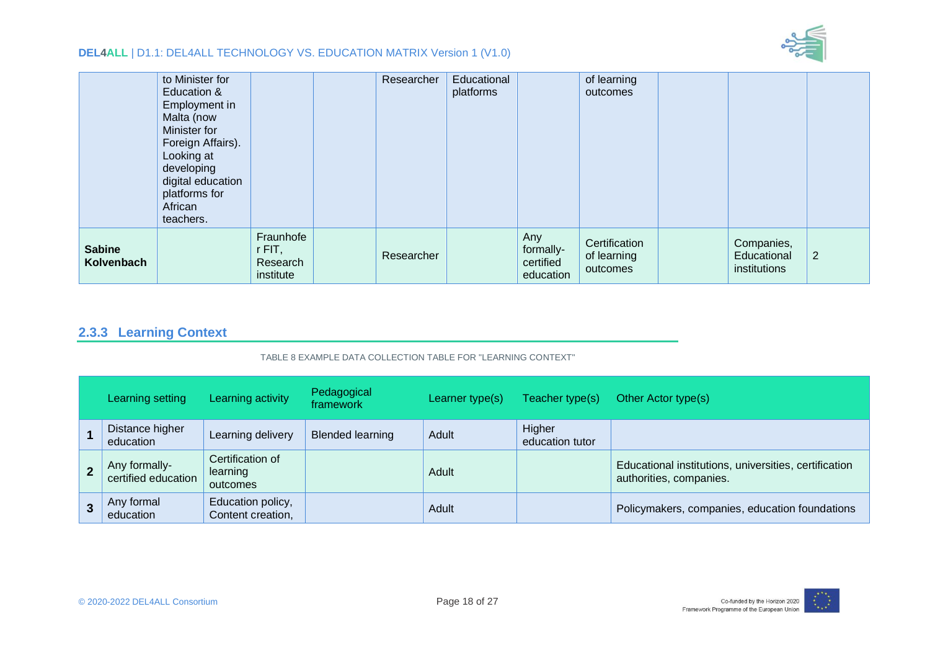

|                             | to Minister for<br>Education &<br>Employment in<br>Malta (now<br>Minister for<br>Foreign Affairs).<br>Looking at<br>developing<br>digital education<br>platforms for<br>African<br>teachers. |                                                | Researcher | Educational<br>platforms |                                            | of learning<br>outcomes                  |                                           |                |
|-----------------------------|----------------------------------------------------------------------------------------------------------------------------------------------------------------------------------------------|------------------------------------------------|------------|--------------------------|--------------------------------------------|------------------------------------------|-------------------------------------------|----------------|
| <b>Sabine</b><br>Kolvenbach |                                                                                                                                                                                              | Fraunhofe<br>$r$ FIT,<br>Research<br>institute | Researcher |                          | Any<br>formally-<br>certified<br>education | Certification<br>of learning<br>outcomes | Companies,<br>Educational<br>institutions | $\overline{2}$ |

### **2.3.3 Learning Context**

#### TABLE 8 EXAMPLE DATA COLLECTION TABLE FOR "LEARNING CONTEXT"

<span id="page-17-1"></span><span id="page-17-0"></span>

| Learning setting                     | Learning activity                        | Pedagogical<br>framework | Learner type(s) | Teacher type(s)           | Other Actor type(s)                                                              |
|--------------------------------------|------------------------------------------|--------------------------|-----------------|---------------------------|----------------------------------------------------------------------------------|
| Distance higher<br>education         | Learning delivery                        | <b>Blended learning</b>  | Adult           | Higher<br>education tutor |                                                                                  |
| Any formally-<br>certified education | Certification of<br>learning<br>outcomes |                          | Adult           |                           | Educational institutions, universities, certification<br>authorities, companies. |
| Any formal<br>education              | Education policy,<br>Content creation,   |                          | Adult           |                           | Policymakers, companies, education foundations                                   |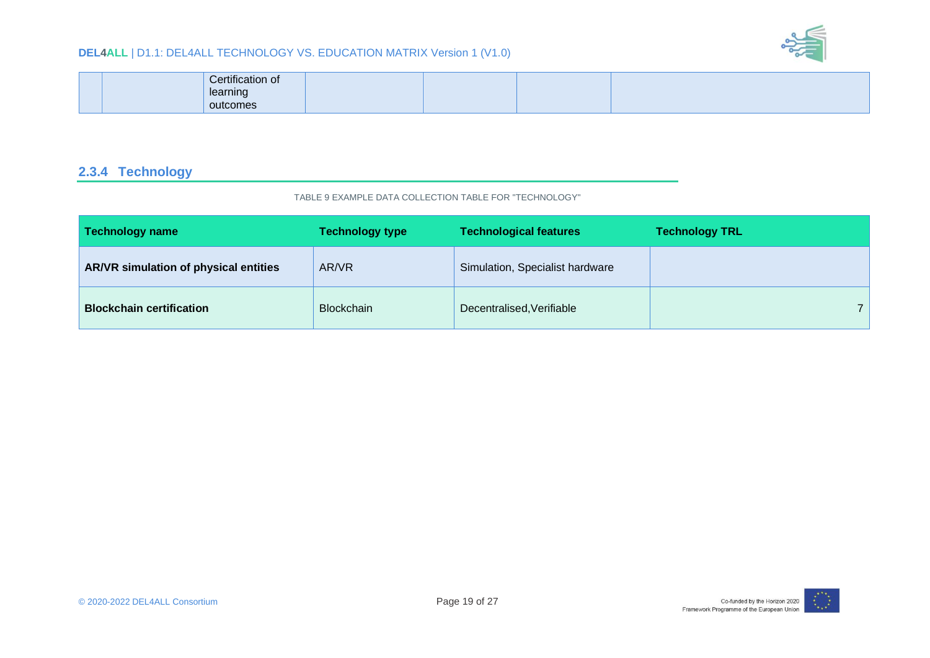

| Certification of |  |  |
|------------------|--|--|
| learning         |  |  |
| outcomes         |  |  |

### **2.3.4 Technology**

#### TABLE 9 EXAMPLE DATA COLLECTION TABLE FOR "TECHNOLOGY"

<span id="page-18-1"></span><span id="page-18-0"></span>

| <b>Technology name</b>                | <b>Technology type</b> | <b>Technological features</b>   | <b>Technology TRL</b> |
|---------------------------------------|------------------------|---------------------------------|-----------------------|
| AR/VR simulation of physical entities | AR/VR                  | Simulation, Specialist hardware |                       |
| <b>Blockchain certification</b>       | <b>Blockchain</b>      | Decentralised, Verifiable       |                       |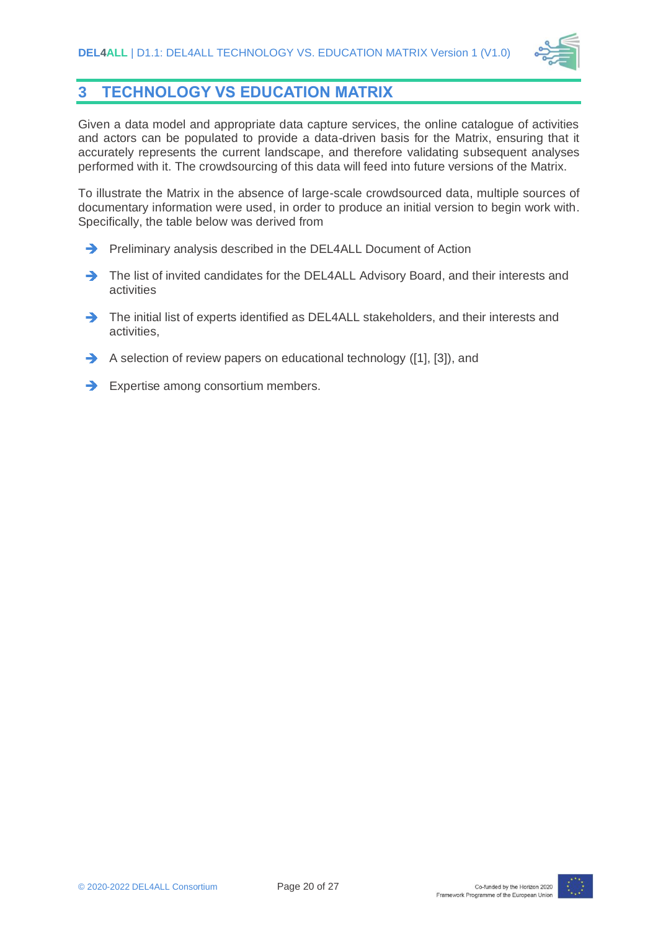

## <span id="page-19-0"></span>**3 TECHNOLOGY VS EDUCATION MATRIX**

Given a data model and appropriate data capture services, the online catalogue of activities and actors can be populated to provide a data-driven basis for the Matrix, ensuring that it accurately represents the current landscape, and therefore validating subsequent analyses performed with it. The crowdsourcing of this data will feed into future versions of the Matrix.

To illustrate the Matrix in the absence of large-scale crowdsourced data, multiple sources of documentary information were used, in order to produce an initial version to begin work with. Specifically, the table below was derived from

- **Preliminary analysis described in the DEL4ALL Document of Action**
- The list of invited candidates for the DEL4ALL Advisory Board, and their interests and activities
- The initial list of experts identified as DEL4ALL stakeholders, and their interests and activities,
- $\rightarrow$  A selection of review papers on educational technology [\(\[1\],](#page-25-4) [\[3\]\)](#page-25-5), and
- $\rightarrow$  Expertise among consortium members.

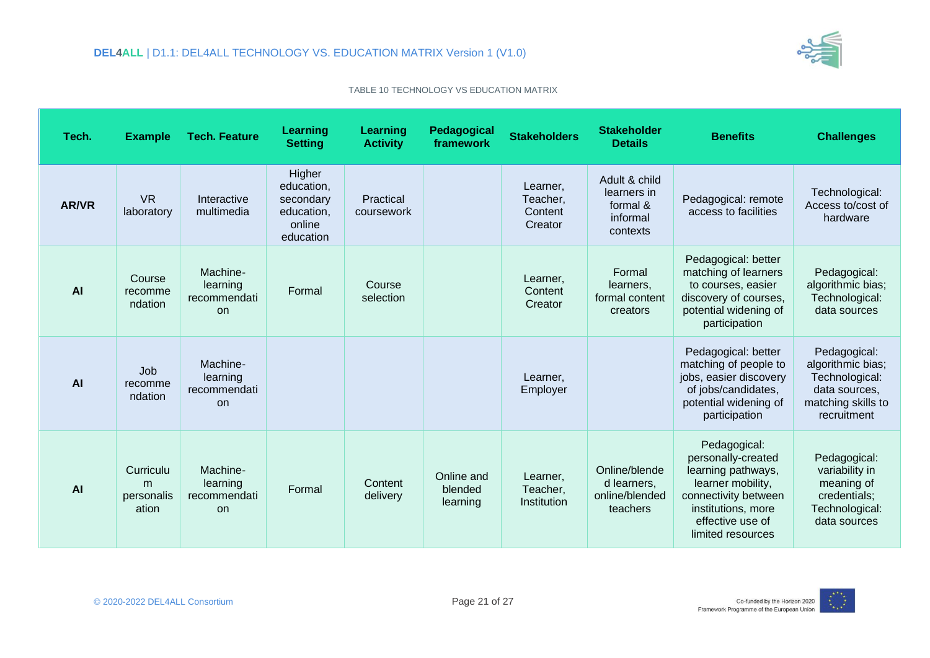

TABLE 10 TECHNOLOGY VS EDUCATION MATRIX

<span id="page-20-0"></span>

| Tech.        | <b>Example</b>                        | <b>Tech. Feature</b>                              | Learning<br><b>Setting</b>                                             | Learning<br><b>Activity</b> | Pedagogical<br>framework          | <b>Stakeholders</b>                        | <b>Stakeholder</b><br><b>Details</b>                             | <b>Benefits</b>                                                                                                                                                      | <b>Challenges</b>                                                                                         |
|--------------|---------------------------------------|---------------------------------------------------|------------------------------------------------------------------------|-----------------------------|-----------------------------------|--------------------------------------------|------------------------------------------------------------------|----------------------------------------------------------------------------------------------------------------------------------------------------------------------|-----------------------------------------------------------------------------------------------------------|
| <b>AR/VR</b> | <b>VR</b><br>laboratory               | Interactive<br>multimedia                         | Higher<br>education,<br>secondary<br>education,<br>online<br>education | Practical<br>coursework     |                                   | Learner,<br>Teacher,<br>Content<br>Creator | Adult & child<br>learners in<br>formal &<br>informal<br>contexts | Pedagogical: remote<br>access to facilities                                                                                                                          | Technological:<br>Access to/cost of<br>hardware                                                           |
| AI           | Course<br>recomme<br>ndation          | Machine-<br>learning<br>recommendati<br><b>on</b> | Formal                                                                 | Course<br>selection         |                                   | Learner,<br>Content<br>Creator             | Formal<br>learners.<br>formal content<br>creators                | Pedagogical: better<br>matching of learners<br>to courses, easier<br>discovery of courses,<br>potential widening of<br>participation                                 | Pedagogical:<br>algorithmic bias;<br>Technological:<br>data sources                                       |
| AI           | Job<br>recomme<br>ndation             | Machine-<br>learning<br>recommendati<br><b>on</b> |                                                                        |                             |                                   | Learner,<br>Employer                       |                                                                  | Pedagogical: better<br>matching of people to<br>jobs, easier discovery<br>of jobs/candidates,<br>potential widening of<br>participation                              | Pedagogical:<br>algorithmic bias;<br>Technological:<br>data sources,<br>matching skills to<br>recruitment |
| <b>AI</b>    | Curriculu<br>m<br>personalis<br>ation | Machine-<br>learning<br>recommendati<br><b>on</b> | Formal                                                                 | Content<br>delivery         | Online and<br>blended<br>learning | Learner,<br>Teacher,<br>Institution        | Online/blende<br>d learners,<br>online/blended<br>teachers       | Pedagogical:<br>personally-created<br>learning pathways,<br>learner mobility,<br>connectivity between<br>institutions, more<br>effective use of<br>limited resources | Pedagogical:<br>variability in<br>meaning of<br>credentials;<br>Technological:<br>data sources            |

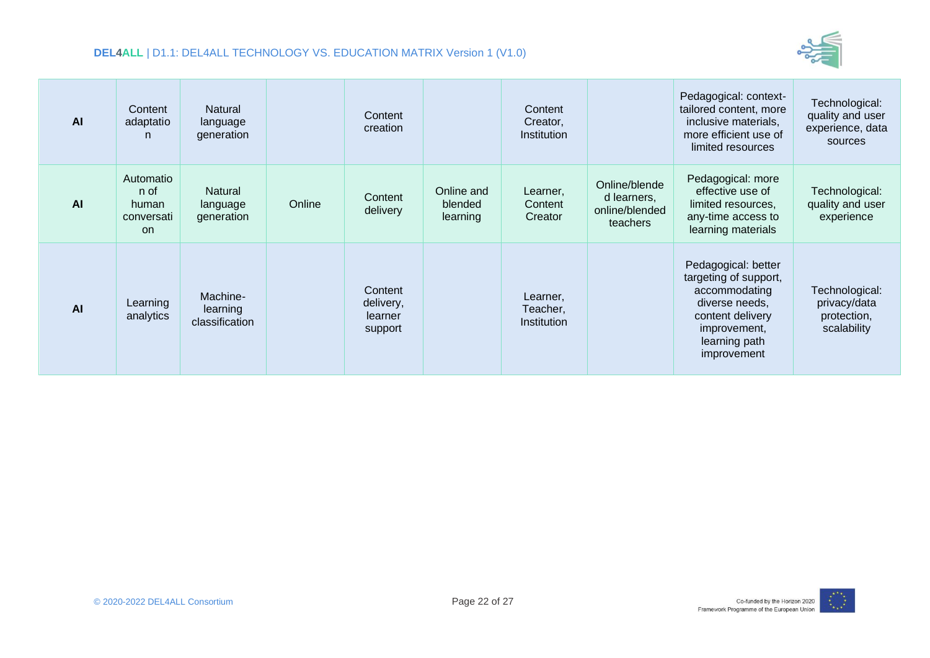

| AI | Content<br>adaptatio<br>n                             | Natural<br>language<br>generation      |        | Content<br>creation                        |                                   | Content<br>Creator,<br>Institution  |                                                            | Pedagogical: context-<br>tailored content, more<br>inclusive materials,<br>more efficient use of<br>limited resources                               | Technological:<br>quality and user<br>experience, data<br>sources |
|----|-------------------------------------------------------|----------------------------------------|--------|--------------------------------------------|-----------------------------------|-------------------------------------|------------------------------------------------------------|-----------------------------------------------------------------------------------------------------------------------------------------------------|-------------------------------------------------------------------|
| AI | Automatio<br>n of<br>human<br>conversati<br><b>on</b> | Natural<br>language<br>generation      | Online | Content<br>delivery                        | Online and<br>blended<br>learning | Learner,<br>Content<br>Creator      | Online/blende<br>d learners,<br>online/blended<br>teachers | Pedagogical: more<br>effective use of<br>limited resources,<br>any-time access to<br>learning materials                                             | Technological:<br>quality and user<br>experience                  |
| AI | Learning<br>analytics                                 | Machine-<br>learning<br>classification |        | Content<br>delivery,<br>learner<br>support |                                   | Learner,<br>Teacher,<br>Institution |                                                            | Pedagogical: better<br>targeting of support,<br>accommodating<br>diverse needs,<br>content delivery<br>improvement,<br>learning path<br>improvement | Technological:<br>privacy/data<br>protection,<br>scalability      |

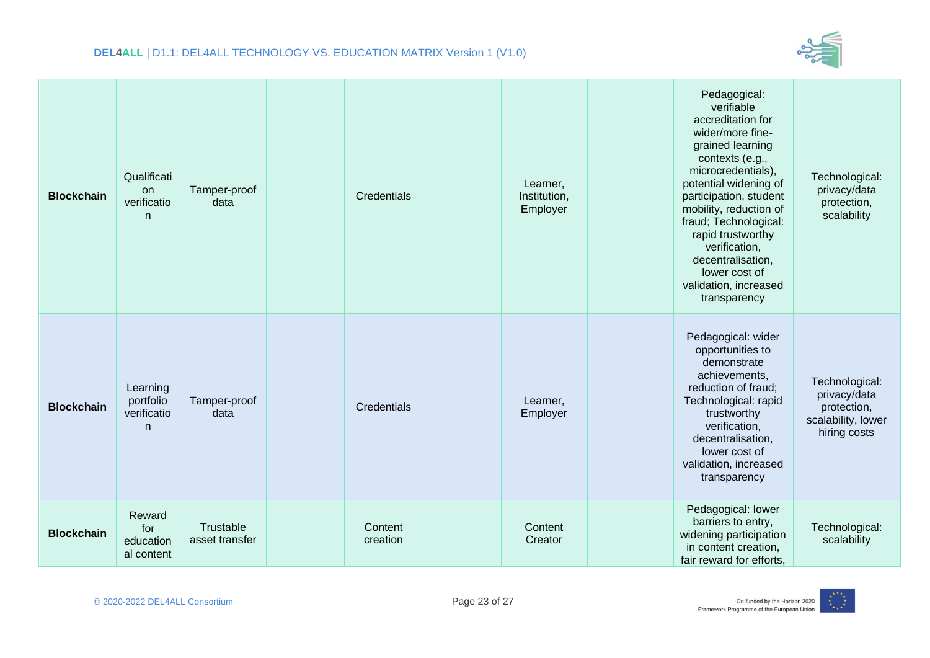

| <b>Blockchain</b> | Qualificati<br>on<br>verificatio<br>n     | Tamper-proof<br>data        | Credentials         | Learner,<br>Institution,<br>Employer | Pedagogical:<br>verifiable<br>accreditation for<br>wider/more fine-<br>grained learning<br>contexts (e.g.,<br>microcredentials),<br>potential widening of<br>participation, student<br>mobility, reduction of<br>fraud; Technological:<br>rapid trustworthy<br>verification,<br>decentralisation,<br>lower cost of<br>validation, increased<br>transparency | Technological:<br>privacy/data<br>protection,<br>scalability                        |
|-------------------|-------------------------------------------|-----------------------------|---------------------|--------------------------------------|-------------------------------------------------------------------------------------------------------------------------------------------------------------------------------------------------------------------------------------------------------------------------------------------------------------------------------------------------------------|-------------------------------------------------------------------------------------|
| <b>Blockchain</b> | Learning<br>portfolio<br>verificatio<br>n | Tamper-proof<br>data        | Credentials         | Learner,<br>Employer                 | Pedagogical: wider<br>opportunities to<br>demonstrate<br>achievements,<br>reduction of fraud;<br>Technological: rapid<br>trustworthy<br>verification,<br>decentralisation,<br>lower cost of<br>validation, increased<br>transparency                                                                                                                        | Technological:<br>privacy/data<br>protection,<br>scalability, lower<br>hiring costs |
| <b>Blockchain</b> | Reward<br>for<br>education<br>al content  | Trustable<br>asset transfer | Content<br>creation | Content<br>Creator                   | Pedagogical: lower<br>barriers to entry,<br>widening participation<br>in content creation,<br>fair reward for efforts,                                                                                                                                                                                                                                      | Technological:<br>scalability                                                       |

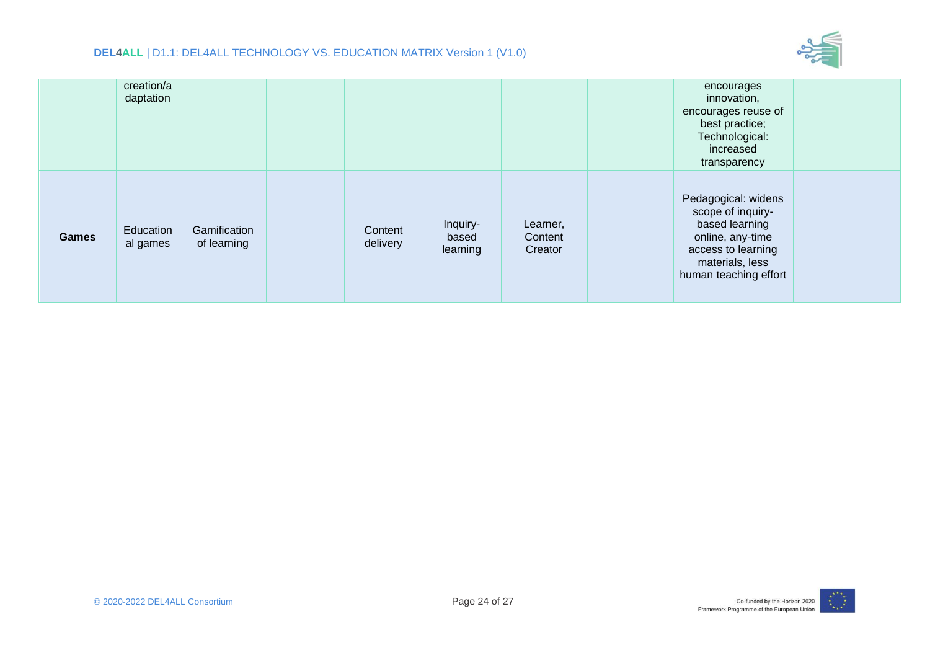

|              | creation/a<br>daptation |                             |                     |                               |                                | encourages<br>innovation,<br>encourages reuse of<br>best practice;<br>Technological:<br>increased<br>transparency                                |  |
|--------------|-------------------------|-----------------------------|---------------------|-------------------------------|--------------------------------|--------------------------------------------------------------------------------------------------------------------------------------------------|--|
| <b>Games</b> | Education<br>al games   | Gamification<br>of learning | Content<br>delivery | Inquiry-<br>based<br>learning | Learner,<br>Content<br>Creator | Pedagogical: widens<br>scope of inquiry-<br>based learning<br>online, any-time<br>access to learning<br>materials, less<br>human teaching effort |  |

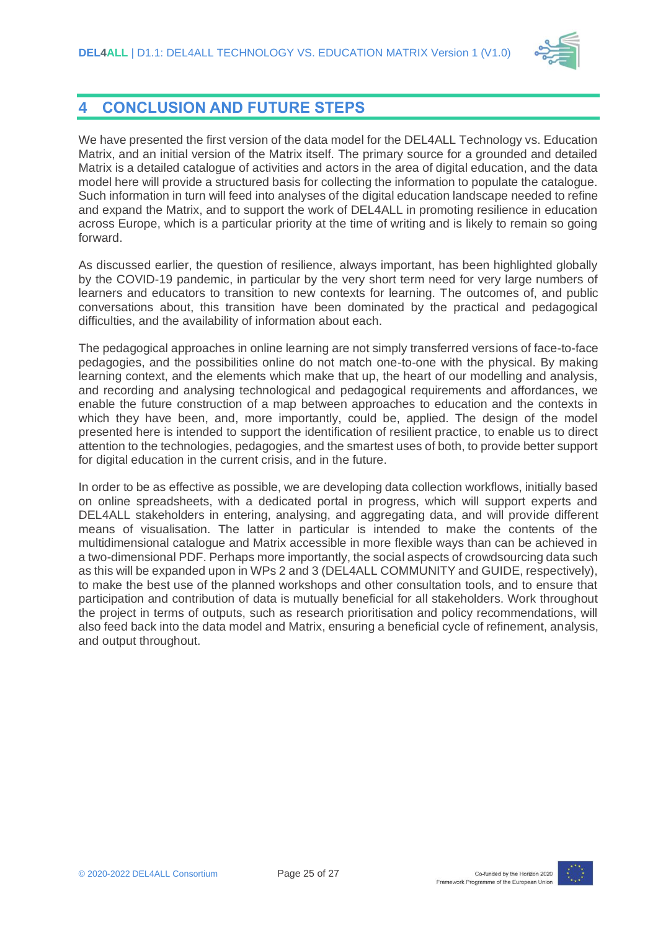

### <span id="page-24-0"></span>**4 CONCLUSION AND FUTURE STEPS**

We have presented the first version of the data model for the DEL4ALL Technology vs. Education Matrix, and an initial version of the Matrix itself. The primary source for a grounded and detailed Matrix is a detailed catalogue of activities and actors in the area of digital education, and the data model here will provide a structured basis for collecting the information to populate the catalogue. Such information in turn will feed into analyses of the digital education landscape needed to refine and expand the Matrix, and to support the work of DEL4ALL in promoting resilience in education across Europe, which is a particular priority at the time of writing and is likely to remain so going forward.

As discussed earlier, the question of resilience, always important, has been highlighted globally by the COVID-19 pandemic, in particular by the very short term need for very large numbers of learners and educators to transition to new contexts for learning. The outcomes of, and public conversations about, this transition have been dominated by the practical and pedagogical difficulties, and the availability of information about each.

The pedagogical approaches in online learning are not simply transferred versions of face-to-face pedagogies, and the possibilities online do not match one-to-one with the physical. By making learning context, and the elements which make that up, the heart of our modelling and analysis, and recording and analysing technological and pedagogical requirements and affordances, we enable the future construction of a map between approaches to education and the contexts in which they have been, and, more importantly, could be, applied. The design of the model presented here is intended to support the identification of resilient practice, to enable us to direct attention to the technologies, pedagogies, and the smartest uses of both, to provide better support for digital education in the current crisis, and in the future.

In order to be as effective as possible, we are developing data collection workflows, initially based on online spreadsheets, with a dedicated portal in progress, which will support experts and DEL4ALL stakeholders in entering, analysing, and aggregating data, and will provide different means of visualisation. The latter in particular is intended to make the contents of the multidimensional catalogue and Matrix accessible in more flexible ways than can be achieved in a two-dimensional PDF. Perhaps more importantly, the social aspects of crowdsourcing data such as this will be expanded upon in WPs 2 and 3 (DEL4ALL COMMUNITY and GUIDE, respectively), to make the best use of the planned workshops and other consultation tools, and to ensure that participation and contribution of data is mutually beneficial for all stakeholders. Work throughout the project in terms of outputs, such as research prioritisation and policy recommendations, will also feed back into the data model and Matrix, ensuring a beneficial cycle of refinement, analysis, and output throughout.

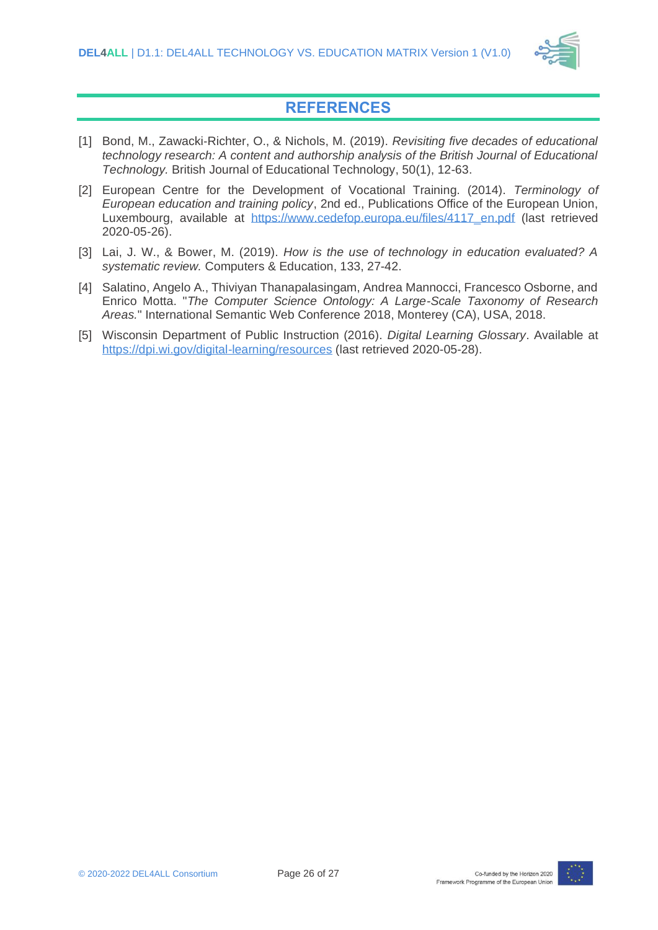

### **REFERENCES**

- <span id="page-25-4"></span><span id="page-25-0"></span>[1] Bond, M., Zawacki‐Richter, O., & Nichols, M. (2019). *Revisiting five decades of educational technology research: A content and authorship analysis of the British Journal of Educational Technology.* British Journal of Educational Technology, 50(1), 12-63.
- <span id="page-25-1"></span>[2] European Centre for the Development of Vocational Training. (2014). *Terminology of European education and training policy*, 2nd ed., Publications Office of the European Union, Luxembourg, available at [https://www.cedefop.europa.eu/files/4117\\_en.pdf](https://www.cedefop.europa.eu/files/4117_en.pdf) (last retrieved 2020-05-26).
- <span id="page-25-5"></span>[3] Lai, J. W., & Bower, M. (2019). *How is the use of technology in education evaluated? A systematic review.* Computers & Education, 133, 27-42.
- <span id="page-25-2"></span>[4] Salatino, Angelo A., Thiviyan Thanapalasingam, Andrea Mannocci, Francesco Osborne, and Enrico Motta. "*The Computer Science Ontology: A Large-Scale Taxonomy of Research Areas.*" International Semantic Web Conference 2018, Monterey (CA), USA, 2018.
- <span id="page-25-3"></span>[5] Wisconsin Department of Public Instruction (2016). *Digital Learning Glossary*. Available at <https://dpi.wi.gov/digital-learning/resources> (last retrieved 2020-05-28).